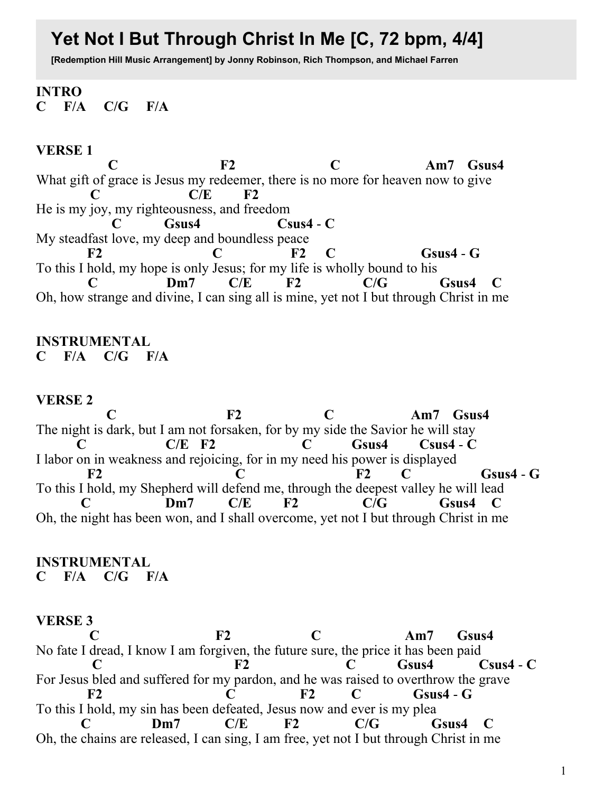## **Yet Not I But Through Christ In Me [C, 72 bpm, 4/4]**

**[Redemption Hill Music Arrangement] by Jonny Robinson, Rich Thompson, and Michael Farren**

# **INTRO**

**C**.....**F/A**.....**C/G**.....**F/A**

#### **VERSE.1**

**C**. **F2**. **C**. **Am7**. **Gsus4** What gift of grace is Jesus my redeemer, there is no more for heaven now to give  $C/E$ . **F2** He is my joy, my righteousness, and freedom.  $\cos 4$  **C**. **C**. My steadfast love, my deep and boundless peace **F2**. **C**. **F2**. **C**. **Gsus4**-**G** To this. I hold, my hope is only Jesus; for my life is wholly bound to his **C**. **Dm7**. **C/E**. **F2**. **C/G**. **Gsus4**. **C** Oh, how strange and divine, I can sing all is mine, yet not I but through Christ in me

### **INSTRUMENTAL**

**C**.....**F/A**.....**C/G**.....**F/A**

#### **VERSE.2**

**C**. **F2**. **C**. **Am7**. **Gsus4** The night is dark, but I am not forsaken, for by my side the Savior he will stay **C**. **C/E**. **F2**. **C**. **Gsus4**. **Csus4**.-.**C** I labor on in weakness and rejoicing, for in my need his power is displayed. F2 **C** F2 **C** Gsus4 - G To this I hold, my Shepherd will defend me, through the deepest valley he will lead. **C**. **Dm7**. **C/E**. **F2**. **C/G**. **Gsus4**. **C** Oh, the night has been won, and I shall overcome, yet not I but through Christ in me

#### **INSTRUMENTAL**

**C**.....**F/A**.....**C/G**.....**F/A**

#### **VERSE.3**

**C**. **F2**. **C**. **Am7**. **Gsus4** No. fate I dread, I know I am forgiven, the future sure, the price it has been paid  $\bf{F2}$  **C**. **Gsus4 C**. **Csus4 C**. For Jesus bled and suffered for my pardon, and he was raised to overthrow the grave **C**. **F2. C. Gsus4** - **G**. To this. I hold, my sin has been defeated, Jesus now and ever is my plear-**C**. **Dm7**. **C/E**. **F2**. **C/G**. **Gsus4**. **C** Oh, the chains are released, I can sing, I am free, yet not I but through Christ in me

1